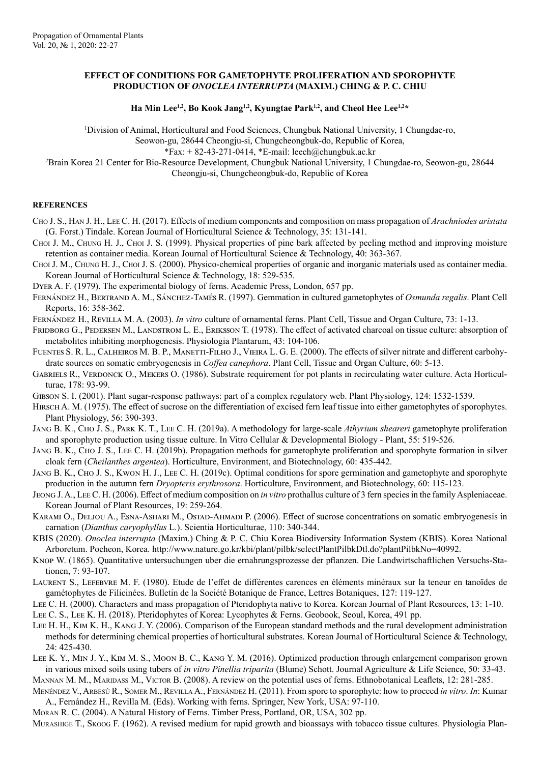## **EFFECT OF CONDITIONS FOR GAMETOPHYTE PROLIFERATION AND SPOROPHYTE PRODUCTION OF** *ONOCLEA INTERRUPTA* **(MAXIM.) CHING & P. C. CHIU**

Ha Min Lee<sup>1,2</sup>, Bo Kook Jang<sup>1,2</sup>, Kyungtae Park<sup>1,2</sup>, and Cheol Hee Lee<sup>1,2\*</sup>

<sup>1</sup>Division of Animal, Horticultural and Food Sciences, Chungbuk National University, 1 Chungdae-ro,

Seowon-gu, 28644 Cheongju-si, Chungcheongbuk-do, Republic of Korea,

 $*Fax: +82-43-271-0414, *E-mail:  $\text{leech}(\partial_x\text{chungbuk.ac.kr})$$ 

2 Brain Korea 21 Center for Bio-Resource Development, Chungbuk National University, 1 Chungdae-ro, Seowon-gu, 28644 Cheongju-si, Chungcheongbuk-do, Republic of Korea

## **REFERENCES**

- Cho J. S., Han J. H., Lee C. H. (2017). Effects of medium components and composition on mass propagation of *Arachniodes aristata* (G. Forst.) Tindale. Korean Journal of Horticultural Science & Technology, 35: 131-141.
- Choi J. M., Chung H. J., Choi J. S. (1999). Physical properties of pine bark affected by peeling method and improving moisture retention as container media. Korean Journal of Horticultural Science & Technology, 40: 363-367.

Choi J. M., Chung H. J., Choi J. S. (2000). Physico-chemical properties of organic and inorganic materials used as container media. Korean Journal of Horticultural Science & Technology, 18: 529-535.

Dyer A. F. (1979). The experimental biology of ferns. Academic Press, London, 657 pp.

- Fernández H., Bertrand A. M., Sánchez-Tamés R. (1997). Gemmation in cultured gametophytes of *Osmunda regalis*. Plant Cell Reports, 16: 358-362.
- Fernández H., Revilla M. A. (2003). *In vitro* culture of ornamental ferns. Plant Cell, Tissue and Organ Culture, 73: 1-13.

FRIDBORG G., PEDERSEN M., LANDSTROM L. E., ERIKSSON T. (1978). The effect of activated charcoal on tissue culture: absorption of metabolites inhibiting morphogenesis. Physiologia Plantarum, 43: 104-106.

- Fuentes S. R. L., Calheiros M. B. P., Manetti-Filho J., Vieira L. G. E. (2000). The effects of silver nitrate and different carbohydrate sources on somatic embryogenesis in *Coffea canephora*. Plant Cell, Tissue and Organ Culture, 60: 5-13.
- GABRIELS R., VERDONCK O., MEKERS O. (1986). Substrate requirement for pot plants in recirculating water culture. Acta Horticulturae, 178: 93-99.
- Gibson S. I. (2001). Plant sugar-response pathways: part of a complex regulatory web. Plant Physiology, 124: 1532-1539.
- Hirsch A. M. (1975). The effect of sucrose on the differentiation of excised fern leaf tissue into either gametophytes of sporophytes. Plant Physiology, 56: 390-393.
- Jang B. K., Cho J. S., Park K. T., Lee C. H. (2019a). A methodology for large-scale *Athyrium sheareri* gametophyte proliferation and sporophyte production using tissue culture. In Vitro Cellular & Developmental Biology - Plant, 55: 519-526.
- Jang B. K., Cho J. S., Lee C. H. (2019b). Propagation methods for gametophyte proliferation and sporophyte formation in silver cloak fern (*Cheilanthes argentea*). Horticulture, Environment, and Biotechnology, 60: 435-442.
- Jang B. K., Cho J. S., Kwon H. J., Lee C. H. (2019c). Optimal conditions for spore germination and gametophyte and sporophyte production in the autumn fern *Dryopteris erythrosora*. Horticulture, Environment, and Biotechnology, 60: 115-123.
- Jeong J. A., Lee C. H. (2006). Effect of medium composition on *in vitro* prothallus culture of 3 fern species in the family Aspleniaceae. Korean Journal of Plant Resources, 19: 259-264.
- KARAMI O., DELJOU A., ESNA-ASHARI M., OSTAD-AHMADI P. (2006). Effect of sucrose concentrations on somatic embryogenesis in carnation (*Dianthus caryophyllus* L.). Scientia Horticulturae, 110: 340-344.
- KBIS (2020). *Onoclea interrupta* (Maxim.) Ching & P. C. Chiu Korea Biodiversity Information System (KBIS). Korea National Arboretum. Pocheon, Korea. http://www.nature.go.kr/kbi/plant/pilbk/selectPlantPilbkDtl.do?plantPilbkNo=40992.
- Knop W. (1865). Quantitative untersuchungen uber die ernahrungsprozesse der pflanzen. Die Landwirtschaftlichen Versuchs-Stationen, 7: 93-107.
- Laurent S., Lefebvre M. F. (1980). Etude de l'effet de différentes carences en éléments minéraux sur la teneur en tanoïdes de gamétophytes de Filicinées. Bulletin de la Société Botanique de France, Lettres Botaniques, 127: 119-127.
- Lee C. H. (2000). Characters and mass propagation of Pteridophyta native to Korea. Korean Journal of Plant Resources, 13: 1-10.
- Lee C. S., Lee K. H. (2018). Pteridophytes of Korea: Lycophytes & Ferns. Geobook, Seoul, Korea, 491 pp.
- Lee H. H., Kim K. H., Kang J. Y. (2006). Comparison of the European standard methods and the rural development administration methods for determining chemical properties of horticultural substrates. Korean Journal of Horticultural Science & Technology, 24: 425-430.
- Lee K. Y., Min J. Y., Kim M. S., Moon B. C., Kang Y. M. (2016). Optimized production through enlargement comparison grown in various mixed soils using tubers of *in vitro Pinellia triparita* (Blume) Schott. Journal Agriculture & Life Science, 50: 33-43.
- MANNAN M. M., MARIDASS M., VICTOR B. (2008). A review on the potential uses of ferns. Ethnobotanical Leaflets, 12: 281-285. Menéndez V., Arbesú R., Somer M., Revilla A., Fernández H. (2011). From spore to sporophyte: how to proceed *in vitro*. *In*: Kumar
- A., Fernández H., Revilla M. (Eds). Working with ferns. Springer, New York, USA: 97-110.
- Moran R. C. (2004). A Natural History of Ferns. Timber Press, Portland, OR, USA, 302 pp.

Murashige T., Skoog F. (1962). A revised medium for rapid growth and bioassays with tobacco tissue cultures. Physiologia Plan-